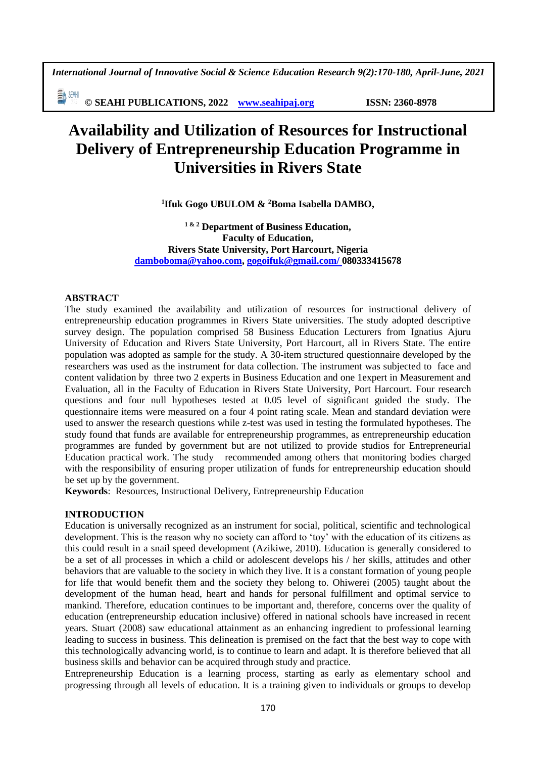*International Journal of Innovative Social & Science Education Research 9(2):170-180, April-June, 2021*

副洲 **© SEAHI PUBLICATIONS, 2022 [www.seahipaj.org](http://www.seahipaj.org/) ISSN: 2360-8978**

# **Availability and Utilization of Resources for Instructional Delivery of Entrepreneurship Education Programme in Universities in Rivers State**

**1 Ifuk Gogo UBULOM & <sup>2</sup>Boma Isabella DAMBO,** 

**1 & 2 Department of Business Education, Faculty of Education, Rivers State University, Port Harcourt, Nigeria [damboboma@yahoo.com,](mailto:damboboma@yahoo.com) [gogoifuk@gmail.com/](mailto:gogoifuk@gmail.com/) 080333415678**

# **ABSTRACT**

The study examined the availability and utilization of resources for instructional delivery of entrepreneurship education programmes in Rivers State universities. The study adopted descriptive survey design. The population comprised 58 Business Education Lecturers from Ignatius Ajuru University of Education and Rivers State University, Port Harcourt, all in Rivers State. The entire population was adopted as sample for the study. A 30-item structured questionnaire developed by the researchers was used as the instrument for data collection. The instrument was subjected to face and content validation by three two 2 experts in Business Education and one 1expert in Measurement and Evaluation, all in the Faculty of Education in Rivers State University, Port Harcourt. Four research questions and four null hypotheses tested at 0.05 level of significant guided the study. The questionnaire items were measured on a four 4 point rating scale. Mean and standard deviation were used to answer the research questions while z-test was used in testing the formulated hypotheses. The study found that funds are available for entrepreneurship programmes, as entrepreneurship education programmes are funded by government but are not utilized to provide studios for Entrepreneurial Education practical work. The study recommended among others that monitoring bodies charged with the responsibility of ensuring proper utilization of funds for entrepreneurship education should be set up by the government.

**Keywords**: Resources, Instructional Delivery, Entrepreneurship Education

# **INTRODUCTION**

Education is universally recognized as an instrument for social, political, scientific and technological development. This is the reason why no society can afford to 'toy' with the education of its citizens as this could result in a snail speed development (Azikiwe, 2010). Education is generally considered to be a set of all processes in which a child or adolescent develops his / her skills, attitudes and other behaviors that are valuable to the society in which they live. It is a constant formation of young people for life that would benefit them and the society they belong to. Ohiwerei (2005) taught about the development of the human head, heart and hands for personal fulfillment and optimal service to mankind. Therefore, education continues to be important and, therefore, concerns over the quality of education (entrepreneurship education inclusive) offered in national schools have increased in recent years. Stuart (2008) saw educational attainment as an enhancing ingredient to professional learning leading to success in business. This delineation is premised on the fact that the best way to cope with this technologically advancing world, is to continue to learn and adapt. It is therefore believed that all business skills and behavior can be acquired through study and practice.

Entrepreneurship Education is a learning process, starting as early as elementary school and progressing through all levels of education. It is a training given to individuals or groups to develop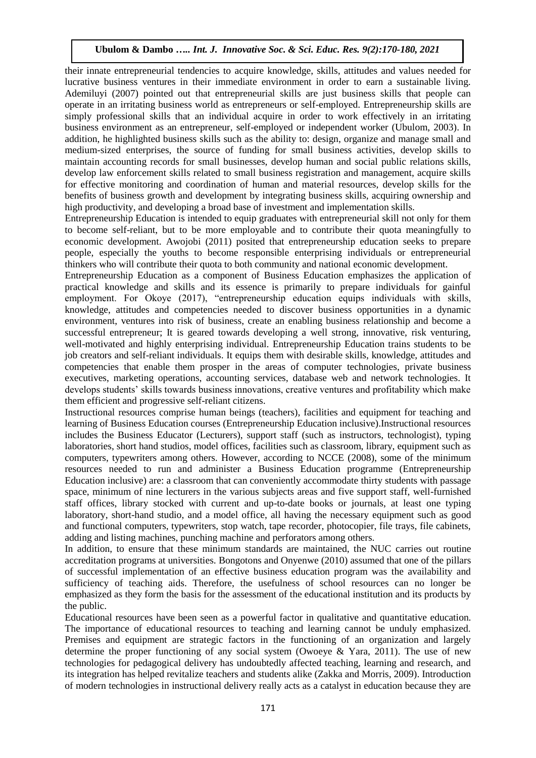their innate entrepreneurial tendencies to acquire knowledge, skills, attitudes and values needed for lucrative business ventures in their immediate environment in order to earn a sustainable living. Ademiluyi (2007) pointed out that entrepreneurial skills are just business skills that people can operate in an irritating business world as entrepreneurs or self-employed. Entrepreneurship skills are simply professional skills that an individual acquire in order to work effectively in an irritating business environment as an entrepreneur, self-employed or independent worker (Ubulom, 2003). In addition, he highlighted business skills such as the ability to: design, organize and manage small and medium-sized enterprises, the source of funding for small business activities, develop skills to maintain accounting records for small businesses, develop human and social public relations skills, develop law enforcement skills related to small business registration and management, acquire skills for effective monitoring and coordination of human and material resources, develop skills for the benefits of business growth and development by integrating business skills, acquiring ownership and high productivity, and developing a broad base of investment and implementation skills.

Entrepreneurship Education is intended to equip graduates with entrepreneurial skill not only for them to become self-reliant, but to be more employable and to contribute their quota meaningfully to economic development. Awojobi (2011) posited that entrepreneurship education seeks to prepare people, especially the youths to become responsible enterprising individuals or entrepreneurial thinkers who will contribute their quota to both community and national economic development.

Entrepreneurship Education as a component of Business Education emphasizes the application of practical knowledge and skills and its essence is primarily to prepare individuals for gainful employment. For Okoye (2017), "entrepreneurship education equips individuals with skills, knowledge, attitudes and competencies needed to discover business opportunities in a dynamic environment, ventures into risk of business, create an enabling business relationship and become a successful entrepreneur; It is geared towards developing a well strong, innovative, risk venturing, well-motivated and highly enterprising individual. Entrepreneurship Education trains students to be job creators and self-reliant individuals. It equips them with desirable skills, knowledge, attitudes and competencies that enable them prosper in the areas of computer technologies, private business executives, marketing operations, accounting services, database web and network technologies. It develops students' skills towards business innovations, creative ventures and profitability which make them efficient and progressive self-reliant citizens.

Instructional resources comprise human beings (teachers), facilities and equipment for teaching and learning of Business Education courses (Entrepreneurship Education inclusive).Instructional resources includes the Business Educator (Lecturers), support staff (such as instructors, technologist), typing laboratories, short hand studios, model offices, facilities such as classroom, library, equipment such as computers, typewriters among others. However, according to NCCE (2008), some of the minimum resources needed to run and administer a Business Education programme (Entrepreneurship Education inclusive) are: a classroom that can conveniently accommodate thirty students with passage space, minimum of nine lecturers in the various subjects areas and five support staff, well-furnished staff offices, library stocked with current and up-to-date books or journals, at least one typing laboratory, short-hand studio, and a model office, all having the necessary equipment such as good and functional computers, typewriters, stop watch, tape recorder, photocopier, file trays, file cabinets, adding and listing machines, punching machine and perforators among others.

In addition, to ensure that these minimum standards are maintained, the NUC carries out routine accreditation programs at universities. Bongotons and Onyenwe (2010) assumed that one of the pillars of successful implementation of an effective business education program was the availability and sufficiency of teaching aids. Therefore, the usefulness of school resources can no longer be emphasized as they form the basis for the assessment of the educational institution and its products by the public.

Educational resources have been seen as a powerful factor in qualitative and quantitative education. The importance of educational resources to teaching and learning cannot be unduly emphasized. Premises and equipment are strategic factors in the functioning of an organization and largely determine the proper functioning of any social system (Owoeye & Yara, 2011). The use of new technologies for pedagogical delivery has undoubtedly affected teaching, learning and research, and its integration has helped revitalize teachers and students alike (Zakka and Morris, 2009). Introduction of modern technologies in instructional delivery really acts as a catalyst in education because they are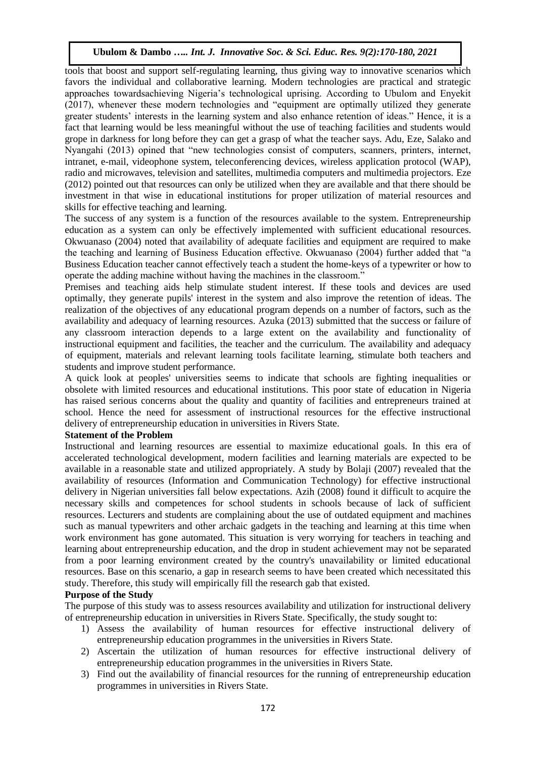tools that boost and support self-regulating learning, thus giving way to innovative scenarios which favors the individual and collaborative learning. Modern technologies are practical and strategic approaches towardsachieving Nigeria's technological uprising. According to Ubulom and Enyekit (2017), whenever these modern technologies and "equipment are optimally utilized they generate greater students' interests in the learning system and also enhance retention of ideas." Hence, it is a fact that learning would be less meaningful without the use of teaching facilities and students would grope in darkness for long before they can get a grasp of what the teacher says. Adu, Eze, Salako and Nyangahi (2013) opined that "new technologies consist of computers, scanners, printers, internet, intranet, e-mail, videophone system, teleconferencing devices, wireless application protocol (WAP), radio and microwaves, television and satellites, multimedia computers and multimedia projectors. Eze (2012) pointed out that resources can only be utilized when they are available and that there should be investment in that wise in educational institutions for proper utilization of material resources and skills for effective teaching and learning.

The success of any system is a function of the resources available to the system. Entrepreneurship education as a system can only be effectively implemented with sufficient educational resources. Okwuanaso (2004) noted that availability of adequate facilities and equipment are required to make the teaching and learning of Business Education effective. Okwuanaso (2004) further added that "a Business Education teacher cannot effectively teach a student the home-keys of a typewriter or how to operate the adding machine without having the machines in the classroom."

Premises and teaching aids help stimulate student interest. If these tools and devices are used optimally, they generate pupils' interest in the system and also improve the retention of ideas. The realization of the objectives of any educational program depends on a number of factors, such as the availability and adequacy of learning resources. Azuka (2013) submitted that the success or failure of any classroom interaction depends to a large extent on the availability and functionality of instructional equipment and facilities, the teacher and the curriculum. The availability and adequacy of equipment, materials and relevant learning tools facilitate learning, stimulate both teachers and students and improve student performance.

A quick look at peoples' universities seems to indicate that schools are fighting inequalities or obsolete with limited resources and educational institutions. This poor state of education in Nigeria has raised serious concerns about the quality and quantity of facilities and entrepreneurs trained at school. Hence the need for assessment of instructional resources for the effective instructional delivery of entrepreneurship education in universities in Rivers State.

# **Statement of the Problem**

Instructional and learning resources are essential to maximize educational goals. In this era of accelerated technological development, modern facilities and learning materials are expected to be available in a reasonable state and utilized appropriately. A study by Bolaji (2007) revealed that the availability of resources (Information and Communication Technology) for effective instructional delivery in Nigerian universities fall below expectations. Azih (2008) found it difficult to acquire the necessary skills and competences for school students in schools because of lack of sufficient resources. Lecturers and students are complaining about the use of outdated equipment and machines such as manual typewriters and other archaic gadgets in the teaching and learning at this time when work environment has gone automated. This situation is very worrying for teachers in teaching and learning about entrepreneurship education, and the drop in student achievement may not be separated from a poor learning environment created by the country's unavailability or limited educational resources. Base on this scenario, a gap in research seems to have been created which necessitated this study. Therefore, this study will empirically fill the research gab that existed.

# **Purpose of the Study**

The purpose of this study was to assess resources availability and utilization for instructional delivery of entrepreneurship education in universities in Rivers State. Specifically, the study sought to:

- 1) Assess the availability of human resources for effective instructional delivery of entrepreneurship education programmes in the universities in Rivers State.
- 2) Ascertain the utilization of human resources for effective instructional delivery of entrepreneurship education programmes in the universities in Rivers State.
- 3) Find out the availability of financial resources for the running of entrepreneurship education programmes in universities in Rivers State.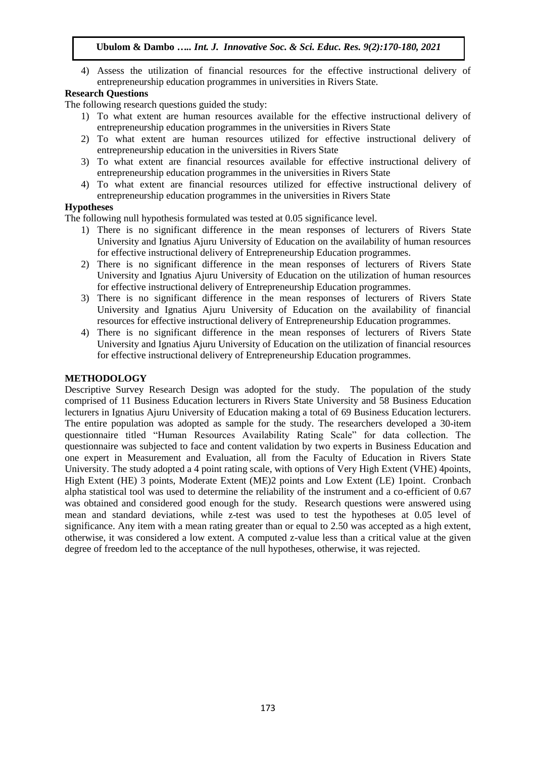4) Assess the utilization of financial resources for the effective instructional delivery of entrepreneurship education programmes in universities in Rivers State.

# **Research Questions**

The following research questions guided the study:

- 1) To what extent are human resources available for the effective instructional delivery of entrepreneurship education programmes in the universities in Rivers State
- 2) To what extent are human resources utilized for effective instructional delivery of entrepreneurship education in the universities in Rivers State
- 3) To what extent are financial resources available for effective instructional delivery of entrepreneurship education programmes in the universities in Rivers State
- 4) To what extent are financial resources utilized for effective instructional delivery of entrepreneurship education programmes in the universities in Rivers State

# **Hypotheses**

The following null hypothesis formulated was tested at 0.05 significance level.

- 1) There is no significant difference in the mean responses of lecturers of Rivers State University and Ignatius Ajuru University of Education on the availability of human resources for effective instructional delivery of Entrepreneurship Education programmes.
- 2) There is no significant difference in the mean responses of lecturers of Rivers State University and Ignatius Ajuru University of Education on the utilization of human resources for effective instructional delivery of Entrepreneurship Education programmes.
- 3) There is no significant difference in the mean responses of lecturers of Rivers State University and Ignatius Ajuru University of Education on the availability of financial resources for effective instructional delivery of Entrepreneurship Education programmes.
- 4) There is no significant difference in the mean responses of lecturers of Rivers State University and Ignatius Ajuru University of Education on the utilization of financial resources for effective instructional delivery of Entrepreneurship Education programmes.

# **METHODOLOGY**

Descriptive Survey Research Design was adopted for the study. The population of the study comprised of 11 Business Education lecturers in Rivers State University and 58 Business Education lecturers in Ignatius Ajuru University of Education making a total of 69 Business Education lecturers. The entire population was adopted as sample for the study. The researchers developed a 30-item questionnaire titled "Human Resources Availability Rating Scale" for data collection. The questionnaire was subjected to face and content validation by two experts in Business Education and one expert in Measurement and Evaluation, all from the Faculty of Education in Rivers State University. The study adopted a 4 point rating scale, with options of Very High Extent (VHE) 4points, High Extent (HE) 3 points, Moderate Extent (ME)2 points and Low Extent (LE) 1point. Cronbach alpha statistical tool was used to determine the reliability of the instrument and a co-efficient of 0.67 was obtained and considered good enough for the study. Research questions were answered using mean and standard deviations, while z-test was used to test the hypotheses at 0.05 level of significance. Any item with a mean rating greater than or equal to 2.50 was accepted as a high extent, otherwise, it was considered a low extent. A computed z-value less than a critical value at the given degree of freedom led to the acceptance of the null hypotheses, otherwise, it was rejected.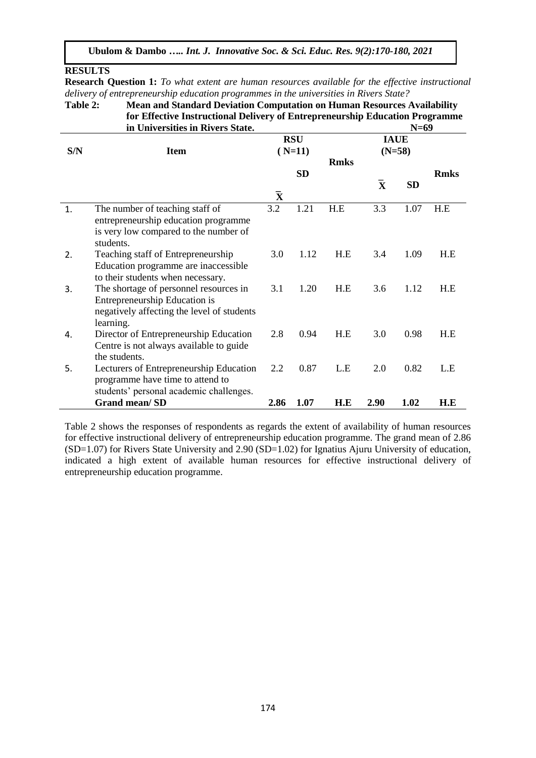# **RESULTS**

**Research Question 1:** *To what extent are human resources available for the effective instructional delivery of entrepreneurship education programmes in the universities in Rivers State?*

**Table 2: Mean and Standard Deviation Computation on Human Resources Availability for Effective Instructional Delivery of Entrepreneurship Education Programme**<br>in Universities in Rivers State. N=69 **in Universities in Rivers State.** 

| S/N | <b>Item</b>                                                                                                                        |                         | <b>RSU</b><br>$(N=11)$ |             | <b>IAUE</b><br>$(N=58)$ |           |             |  |
|-----|------------------------------------------------------------------------------------------------------------------------------------|-------------------------|------------------------|-------------|-------------------------|-----------|-------------|--|
|     |                                                                                                                                    |                         | <b>SD</b>              | <b>Rmks</b> |                         |           | <b>Rmks</b> |  |
|     |                                                                                                                                    | $\overline{\mathbf{X}}$ |                        |             | $\overline{\mathbf{X}}$ | <b>SD</b> |             |  |
| 1.  | The number of teaching staff of<br>entrepreneurship education programme<br>is very low compared to the number of<br>students.      | 3.2                     | 1.21                   | H.E         | 3.3                     | 1.07      | H.E         |  |
| 2.  | Teaching staff of Entrepreneurship<br>Education programme are inaccessible<br>to their students when necessary.                    | 3.0                     | 1.12                   | H.E         | 3.4                     | 1.09      | H.E         |  |
| 3.  | The shortage of personnel resources in<br>Entrepreneurship Education is<br>negatively affecting the level of students<br>learning. | 3.1                     | 1.20                   | H.E         | 3.6                     | 1.12      | H.E         |  |
| 4.  | Director of Entrepreneurship Education<br>Centre is not always available to guide<br>the students.                                 | 2.8                     | 0.94                   | H.E         | 3.0                     | 0.98      | H.E         |  |
| 5.  | Lecturers of Entrepreneurship Education<br>programme have time to attend to<br>students' personal academic challenges.             | 2.2                     | 0.87                   | L.E         | 2.0                     | 0.82      | L.E         |  |
|     | <b>Grand mean/SD</b>                                                                                                               | 2.86                    | 1.07                   | H.E         | 2.90                    | 1.02      | H.E         |  |

Table 2 shows the responses of respondents as regards the extent of availability of human resources for effective instructional delivery of entrepreneurship education programme. The grand mean of 2.86  $(SD=1.07)$  for Rivers State University and  $2.90$   $(SD=1.02)$  for Ignatius Ajuru University of education, indicated a high extent of available human resources for effective instructional delivery of entrepreneurship education programme.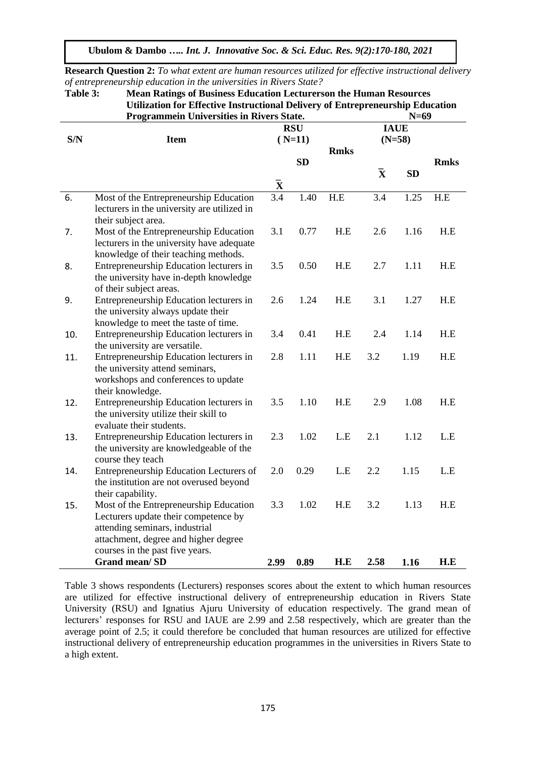|     | ravic J.<br>nican Kaungs of Dusiness Equeation Ecclui crson the Human Kesources<br>Utilization for Effective Instructional Delivery of Entrepreneurship Education                           |                    |                       |             |                    |           |             |  |  |  |  |
|-----|---------------------------------------------------------------------------------------------------------------------------------------------------------------------------------------------|--------------------|-----------------------|-------------|--------------------|-----------|-------------|--|--|--|--|
|     | Programmein Universities in Rivers State.                                                                                                                                                   |                    | $N=69$<br><b>IAUE</b> |             |                    |           |             |  |  |  |  |
| S/N | <b>Item</b>                                                                                                                                                                                 |                    | $(N=11)$              |             | $(N=58)$           |           |             |  |  |  |  |
|     |                                                                                                                                                                                             |                    | <b>SD</b>             | <b>Rmks</b> |                    |           | <b>Rmks</b> |  |  |  |  |
|     |                                                                                                                                                                                             |                    |                       |             | $\bar{\mathbf{x}}$ | <b>SD</b> |             |  |  |  |  |
|     |                                                                                                                                                                                             | $\bar{\mathbf{X}}$ |                       |             |                    |           |             |  |  |  |  |
| 6.  | Most of the Entrepreneurship Education<br>lecturers in the university are utilized in<br>their subject area.                                                                                | 3.4                | 1.40                  | H.E         | 3.4                | 1.25      | H.E         |  |  |  |  |
| 7.  | Most of the Entrepreneurship Education<br>lecturers in the university have adequate<br>knowledge of their teaching methods.                                                                 | 3.1                | 0.77                  | H.E         | 2.6                | 1.16      | H.E         |  |  |  |  |
| 8.  | Entrepreneurship Education lecturers in<br>the university have in-depth knowledge<br>of their subject areas.                                                                                | 3.5                | 0.50                  | H.E         | 2.7                | 1.11      | H.E         |  |  |  |  |
| 9.  | Entrepreneurship Education lecturers in<br>the university always update their<br>knowledge to meet the taste of time.                                                                       | 2.6                | 1.24                  | H.E         | 3.1                | 1.27      | H.E         |  |  |  |  |
| 10. | Entrepreneurship Education lecturers in<br>the university are versatile.                                                                                                                    | 3.4                | 0.41                  | H.E         | 2.4                | 1.14      | H.E         |  |  |  |  |
| 11. | Entrepreneurship Education lecturers in<br>the university attend seminars,<br>workshops and conferences to update<br>their knowledge.                                                       | 2.8                | 1.11                  | H.E         | 3.2                | 1.19      | H.E         |  |  |  |  |
| 12. | Entrepreneurship Education lecturers in<br>the university utilize their skill to<br>evaluate their students.                                                                                | 3.5                | 1.10                  | H.E         | 2.9                | 1.08      | H.E         |  |  |  |  |
| 13. | Entrepreneurship Education lecturers in<br>the university are knowledgeable of the<br>course they teach                                                                                     | 2.3                | 1.02                  | L.E         | 2.1                | 1.12      | L.E         |  |  |  |  |
| 14. | Entrepreneurship Education Lecturers of<br>the institution are not overused beyond<br>their capability.                                                                                     | 2.0                | 0.29                  | L.E         | 2.2                | 1.15      | L.E         |  |  |  |  |
| 15. | Most of the Entrepreneurship Education<br>Lecturers update their competence by<br>attending seminars, industrial<br>attachment, degree and higher degree<br>courses in the past five years. | 3.3                | 1.02                  | H.E         | 3.2                | 1.13      | H.E         |  |  |  |  |
|     | <b>Grand mean/SD</b>                                                                                                                                                                        | 2.99               | 0.89                  | H.E         | 2.58               | 1.16      | H.E         |  |  |  |  |

**Research Question 2:** *To what extent are human resources utilized for effective instructional delivery of entrepreneurship education in the universities in Rivers State?* **Table 3: Mean Ratings of Business Education Lecturerson the Human Resources** 

Table 3 shows respondents (Lecturers) responses scores about the extent to which human resources are utilized for effective instructional delivery of entrepreneurship education in Rivers State University (RSU) and Ignatius Ajuru University of education respectively. The grand mean of lecturers' responses for RSU and IAUE are 2.99 and 2.58 respectively, which are greater than the average point of 2.5; it could therefore be concluded that human resources are utilized for effective instructional delivery of entrepreneurship education programmes in the universities in Rivers State to a high extent.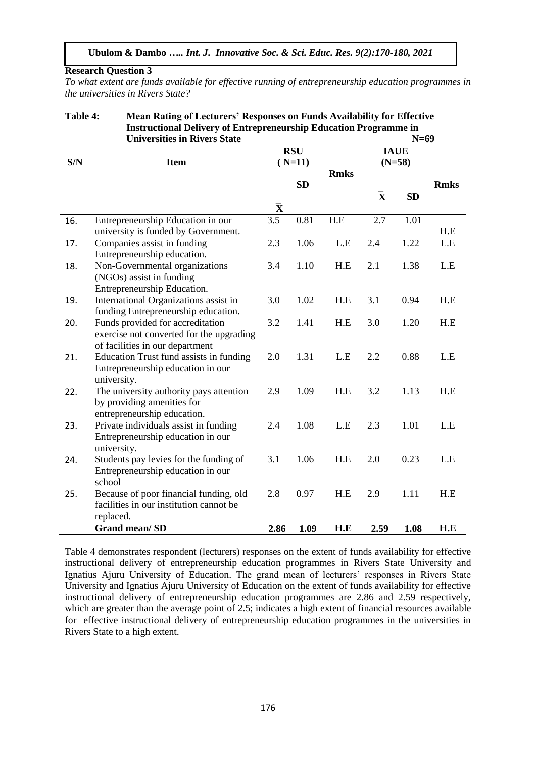## **Research Question 3**

*To what extent are funds available for effective running of entrepreneurship education programmes in the universities in Rivers State?*

## **Table 4: Mean Rating of Lecturers' Responses on Funds Availability for Effective Instructional Delivery of Entrepreneurship Education Programme in Universities in Divers State**

|     | UIIIVEI SILIES III INVEI S DIAIE         |                    |            |             | 11-02                   |           |             |  |
|-----|------------------------------------------|--------------------|------------|-------------|-------------------------|-----------|-------------|--|
|     |                                          |                    | <b>RSU</b> |             | <b>IAUE</b>             |           |             |  |
| S/N | <b>Item</b>                              | $(N=11)$           |            |             | $(N=58)$                |           |             |  |
|     |                                          |                    |            | <b>Rmks</b> |                         |           |             |  |
|     |                                          |                    | <b>SD</b>  |             |                         |           | <b>Rmks</b> |  |
|     |                                          |                    |            |             | $\overline{\mathbf{X}}$ | <b>SD</b> |             |  |
|     |                                          | $\bar{\mathbf{X}}$ |            |             |                         |           |             |  |
| 16. | Entrepreneurship Education in our        | 3.5                | 0.81       | H.E         | 2.7                     | 1.01      |             |  |
|     | university is funded by Government.      |                    |            |             |                         |           | H.E         |  |
| 17. | Companies assist in funding              | 2.3                | 1.06       | L.E         | 2.4                     | 1.22      | L.E         |  |
|     | Entrepreneurship education.              |                    |            |             |                         |           |             |  |
| 18. | Non-Governmental organizations           | 3.4                | 1.10       | H.E         | 2.1                     | 1.38      | L.E         |  |
|     | (NGOs) assist in funding                 |                    |            |             |                         |           |             |  |
|     | Entrepreneurship Education.              |                    |            |             |                         |           |             |  |
| 19. | International Organizations assist in    | 3.0                | 1.02       | H.E         | 3.1                     | 0.94      | H.E         |  |
|     | funding Entrepreneurship education.      |                    |            |             |                         |           |             |  |
| 20. | Funds provided for accreditation         | 3.2                | 1.41       | H.E         | 3.0                     | 1.20      | H.E         |  |
|     | exercise not converted for the upgrading |                    |            |             |                         |           |             |  |
|     | of facilities in our department          |                    |            |             |                         |           |             |  |
| 21. | Education Trust fund assists in funding  | 2.0                | 1.31       | L.E         | 2.2                     | 0.88      | L.E         |  |
|     | Entrepreneurship education in our        |                    |            |             |                         |           |             |  |
|     | university.                              |                    |            |             |                         |           |             |  |
| 22. | The university authority pays attention  | 2.9                | 1.09       | H.E         | 3.2                     | 1.13      | H.E         |  |
|     | by providing amenities for               |                    |            |             |                         |           |             |  |
|     | entrepreneurship education.              |                    |            |             |                         |           |             |  |
| 23. | Private individuals assist in funding    | 2.4                | 1.08       | L.E         | 2.3                     | 1.01      | L.E         |  |
|     | Entrepreneurship education in our        |                    |            |             |                         |           |             |  |
|     | university.                              |                    |            |             |                         |           |             |  |
| 24. | Students pay levies for the funding of   | 3.1                | 1.06       | H.E         | 2.0                     | 0.23      | L.E         |  |
|     | Entrepreneurship education in our        |                    |            |             |                         |           |             |  |
|     | school                                   |                    |            |             |                         |           |             |  |
| 25. | Because of poor financial funding, old   | 2.8                | 0.97       | H.E         | 2.9                     | 1.11      | H.E         |  |
|     | facilities in our institution cannot be  |                    |            |             |                         |           |             |  |
|     | replaced.                                |                    |            |             |                         |           |             |  |
|     | Grand mean/SD                            | 2.86               | 1.09       | H.E         | 2.59                    | 1.08      | H.E         |  |

Table 4 demonstrates respondent (lecturers) responses on the extent of funds availability for effective instructional delivery of entrepreneurship education programmes in Rivers State University and Ignatius Ajuru University of Education. The grand mean of lecturers' responses in Rivers State University and Ignatius Ajuru University of Education on the extent of funds availability for effective instructional delivery of entrepreneurship education programmes are 2.86 and 2.59 respectively, which are greater than the average point of 2.5; indicates a high extent of financial resources available for effective instructional delivery of entrepreneurship education programmes in the universities in Rivers State to a high extent.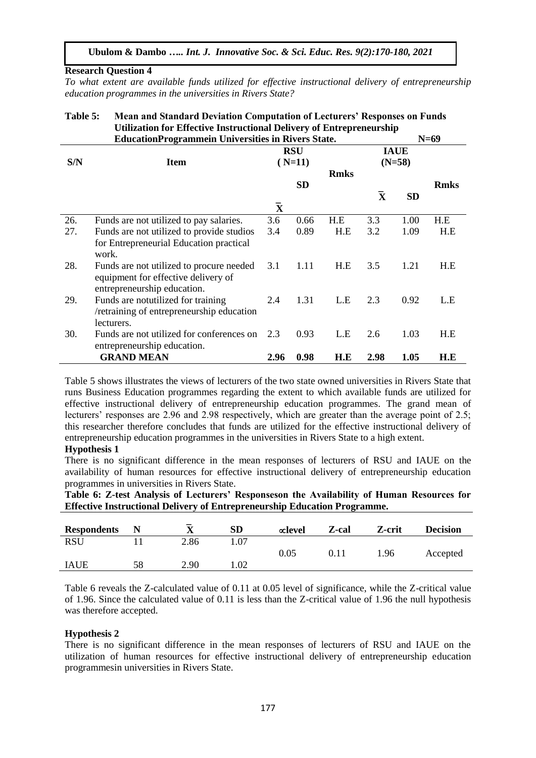#### **Research Question 4**

*To what extent are available funds utilized for effective instructional delivery of entrepreneurship education programmes in the universities in Rivers State?*

#### **Table 5: Mean and Standard Deviation Computation of Lecturers' Responses on Funds Utilization for Effective Instructional Delivery of Entrepreneurship EducationProgrammein Universities in Rivers State. N=69**

|     | <b>Education Fregramment Universities in Kivers State.</b>                                                     | 11–UZ                  |           |             |                    |                         |             |  |  |
|-----|----------------------------------------------------------------------------------------------------------------|------------------------|-----------|-------------|--------------------|-------------------------|-------------|--|--|
| S/N | <b>Item</b>                                                                                                    | <b>RSU</b><br>$(N=11)$ |           |             |                    | <b>IAUE</b><br>$(N=58)$ |             |  |  |
|     |                                                                                                                |                        | <b>SD</b> | <b>Rmks</b> |                    |                         | <b>Rmks</b> |  |  |
|     |                                                                                                                | $\mathbf X$            |           |             | $\bar{\mathbf{x}}$ | <b>SD</b>               |             |  |  |
| 26. | Funds are not utilized to pay salaries.                                                                        | 3.6                    | 0.66      | H.E         | 3.3                | 1.00                    | H.E         |  |  |
| 27. | Funds are not utilized to provide studios<br>for Entrepreneurial Education practical<br>work.                  | 3.4                    | 0.89      | H.E         | 3.2                | 1.09                    | H.E         |  |  |
| 28. | Funds are not utilized to procure needed<br>equipment for effective delivery of<br>entrepreneurship education. | 3.1                    | 1.11      | H.E         | 3.5                | 1.21                    | H.E         |  |  |
| 29. | Funds are noturalized for training<br>/retraining of entrepreneurship education<br>lecturers.                  | 2.4                    | 1.31      | L.E         | 2.3                | 0.92                    | L.E         |  |  |
| 30. | Funds are not utilized for conferences on<br>entrepreneurship education.                                       | 2.3                    | 0.93      | L.E         | 2.6                | 1.03                    | H.E         |  |  |
|     | <b>GRAND MEAN</b>                                                                                              | 2.96                   | 0.98      | H.E         | 2.98               | 1.05                    | H.E         |  |  |

Table 5 shows illustrates the views of lecturers of the two state owned universities in Rivers State that runs Business Education programmes regarding the extent to which available funds are utilized for effective instructional delivery of entrepreneurship education programmes. The grand mean of lecturers' responses are 2.96 and 2.98 respectively, which are greater than the average point of 2.5; this researcher therefore concludes that funds are utilized for the effective instructional delivery of entrepreneurship education programmes in the universities in Rivers State to a high extent.

# **Hypothesis 1**

There is no significant difference in the mean responses of lecturers of RSU and IAUE on the availability of human resources for effective instructional delivery of entrepreneurship education programmes in universities in Rivers State.

| Table 6: Z-test Analysis of Lecturers' Responseson the Availability of Human Resources for |  |  |
|--------------------------------------------------------------------------------------------|--|--|
| <b>Effective Instructional Delivery of Entrepreneurship Education Programme.</b>           |  |  |

| <b>Respondents</b> |    |      | <b>SD</b> | $\alpha$ level | Z-cal | Z-crit | <b>Decision</b> |
|--------------------|----|------|-----------|----------------|-------|--------|-----------------|
| <b>RSU</b>         |    | 2.86 | .07       |                |       |        |                 |
|                    |    |      |           | 0.05           | 0.11  | 1.96   | Accepted        |
| <b>IAUE</b>        | 58 | 2.90 | l.02      |                |       |        |                 |
|                    |    |      |           |                |       |        |                 |

Table 6 reveals the Z-calculated value of 0.11 at 0.05 level of significance, while the Z-critical value of 1.96. Since the calculated value of 0.11 is less than the Z-critical value of 1.96 the null hypothesis was therefore accepted.

# **Hypothesis 2**

There is no significant difference in the mean responses of lecturers of RSU and IAUE on the utilization of human resources for effective instructional delivery of entrepreneurship education programmesin universities in Rivers State.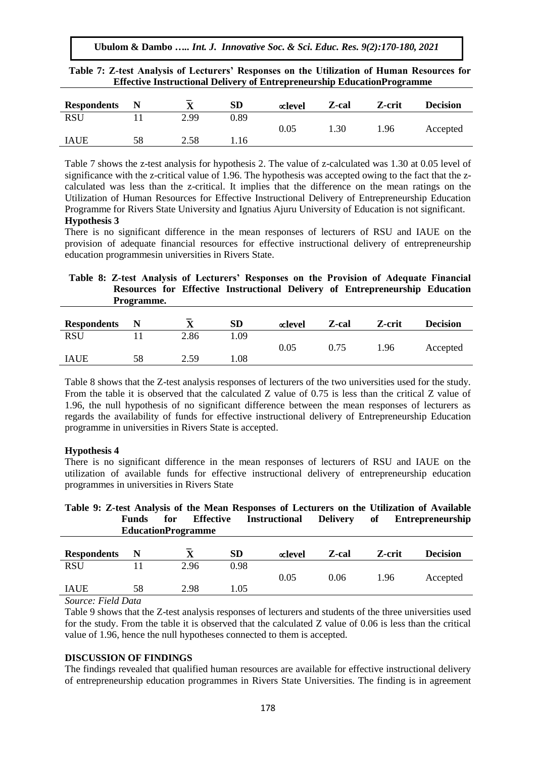**Ubulom & Dambo** *….. Int. J. Innovative Soc. & Sci. Educ. Res. 9(2):170-180, 2021*

| <b>Respondents</b> |    |      | SD   | $\alpha$ level | Z-cal | Z-crit | <b>Decision</b> |
|--------------------|----|------|------|----------------|-------|--------|-----------------|
| <b>RSU</b>         |    | 2.99 | 0.89 |                |       |        |                 |
|                    |    |      |      | 0.05           | 1.30  | 1.96   | Accepted        |
| <b>IAUE</b>        | 58 | 2.58 | .16  |                |       |        |                 |

**Table 7: Z-test Analysis of Lecturers' Responses on the Utilization of Human Resources for Effective Instructional Delivery of Entrepreneurship EducationProgramme**

Table 7 shows the z-test analysis for hypothesis 2. The value of z-calculated was 1.30 at 0.05 level of significance with the z-critical value of 1.96. The hypothesis was accepted owing to the fact that the zcalculated was less than the z-critical. It implies that the difference on the mean ratings on the Utilization of Human Resources for Effective Instructional Delivery of Entrepreneurship Education Programme for Rivers State University and Ignatius Ajuru University of Education is not significant. **Hypothesis 3**

There is no significant difference in the mean responses of lecturers of RSU and IAUE on the provision of adequate financial resources for effective instructional delivery of entrepreneurship education programmesin universities in Rivers State.

# **Table 8: Z-test Analysis of Lecturers' Responses on the Provision of Adequate Financial Resources for Effective Instructional Delivery of Entrepreneurship Education Programme.**

| <b>Respondents</b> |    | $\overline{\phantom{0}}$<br>$\overline{\mathbf{x}}$ | SD   | $\alpha$ level | Z-cal | Z-crit | <b>Decision</b> |
|--------------------|----|-----------------------------------------------------|------|----------------|-------|--------|-----------------|
| RSU                |    | 2.86                                                | 1.09 |                |       |        |                 |
|                    |    |                                                     |      | $\rm 0.05$     | 0.75  | 1.96   | Accepted        |
| <b>IAUE</b>        | 58 | 2.59                                                | 0.08 |                |       |        |                 |

Table 8 shows that the Z-test analysis responses of lecturers of the two universities used for the study. From the table it is observed that the calculated Z value of 0.75 is less than the critical Z value of 1.96, the null hypothesis of no significant difference between the mean responses of lecturers as regards the availability of funds for effective instructional delivery of Entrepreneurship Education programme in universities in Rivers State is accepted.

# **Hypothesis 4**

There is no significant difference in the mean responses of lecturers of RSU and IAUE on the utilization of available funds for effective instructional delivery of entrepreneurship education programmes in universities in Rivers State

|                           |     |           |               |             | Table 9: Z-test Analysis of the Mean Responses of Lecturers on the Utilization of Available |
|---------------------------|-----|-----------|---------------|-------------|---------------------------------------------------------------------------------------------|
| Funds                     | for | Effective | Instructional | Delivery of | <b>Entrepreneurship</b>                                                                     |
| <b>EducationProgramme</b> |     |           |               |             |                                                                                             |

| <b>Respondents</b> |    |      | <b>SD</b> | $\infty$ level | Z-cal | Z-crit | <b>Decision</b> |
|--------------------|----|------|-----------|----------------|-------|--------|-----------------|
| <b>RSU</b>         |    | 2.96 | 0.98      |                |       |        |                 |
|                    |    |      |           | 0.05           | 0.06  | 1.96   | Accepted        |
| <b>IAUE</b>        | 58 | 2.98 | . 05      |                |       |        |                 |
| --<br>________     |    |      |           |                |       |        |                 |

*Source: Field Data*

Table 9 shows that the Z-test analysis responses of lecturers and students of the three universities used for the study. From the table it is observed that the calculated Z value of 0.06 is less than the critical value of 1.96, hence the null hypotheses connected to them is accepted.

# **DISCUSSION OF FINDINGS**

The findings revealed that qualified human resources are available for effective instructional delivery of entrepreneurship education programmes in Rivers State Universities. The finding is in agreement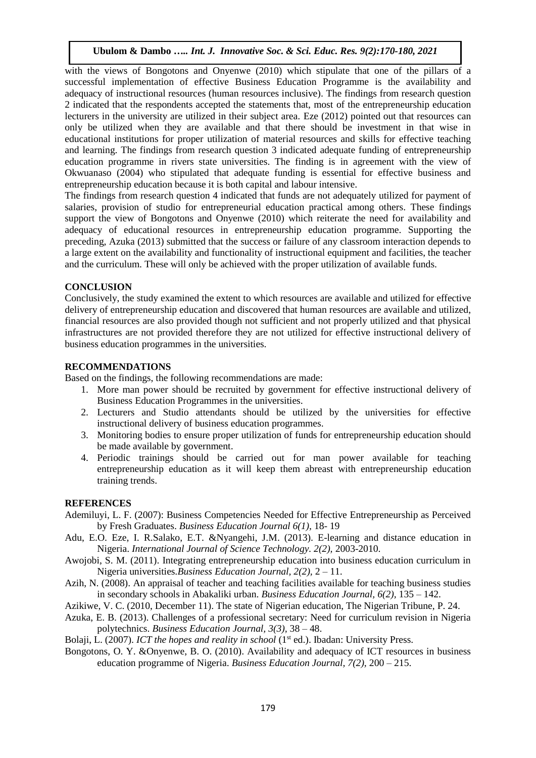with the views of Bongotons and Onyenwe (2010) which stipulate that one of the pillars of a successful implementation of effective Business Education Programme is the availability and adequacy of instructional resources (human resources inclusive). The findings from research question 2 indicated that the respondents accepted the statements that, most of the entrepreneurship education lecturers in the university are utilized in their subject area. Eze (2012) pointed out that resources can only be utilized when they are available and that there should be investment in that wise in educational institutions for proper utilization of material resources and skills for effective teaching and learning. The findings from research question 3 indicated adequate funding of entrepreneurship education programme in rivers state universities. The finding is in agreement with the view of Okwuanaso (2004) who stipulated that adequate funding is essential for effective business and entrepreneurship education because it is both capital and labour intensive.

The findings from research question 4 indicated that funds are not adequately utilized for payment of salaries, provision of studio for entrepreneurial education practical among others. These findings support the view of Bongotons and Onyenwe (2010) which reiterate the need for availability and adequacy of educational resources in entrepreneurship education programme. Supporting the preceding, Azuka (2013) submitted that the success or failure of any classroom interaction depends to a large extent on the availability and functionality of instructional equipment and facilities, the teacher and the curriculum. These will only be achieved with the proper utilization of available funds.

# **CONCLUSION**

Conclusively, the study examined the extent to which resources are available and utilized for effective delivery of entrepreneurship education and discovered that human resources are available and utilized, financial resources are also provided though not sufficient and not properly utilized and that physical infrastructures are not provided therefore they are not utilized for effective instructional delivery of business education programmes in the universities.

# **RECOMMENDATIONS**

Based on the findings, the following recommendations are made:

- 1. More man power should be recruited by government for effective instructional delivery of Business Education Programmes in the universities.
- 2. Lecturers and Studio attendants should be utilized by the universities for effective instructional delivery of business education programmes.
- 3. Monitoring bodies to ensure proper utilization of funds for entrepreneurship education should be made available by government.
- 4. Periodic trainings should be carried out for man power available for teaching entrepreneurship education as it will keep them abreast with entrepreneurship education training trends.

# **REFERENCES**

- Ademiluyi, L. F. (2007): Business Competencies Needed for Effective Entrepreneurship as Perceived by Fresh Graduates. *Business Education Journal 6(1),* 18- 19
- Adu, E.O. Eze, I. R.Salako, E.T. &Nyangehi, J.M. (2013). E-learning and distance education in Nigeria. *International Journal of Science Technology. 2(2),* 2003-2010.
- Awojobi, S. M. (2011). Integrating entrepreneurship education into business education curriculum in Nigeria universities.*Business Education Journal, 2(2),* 2 – 11.
- Azih, N. (2008). An appraisal of teacher and teaching facilities available for teaching business studies in secondary schools in Abakaliki urban. *Business Education Journal, 6(2),* 135 – 142.
- Azikiwe, V. C. (2010, December 11). The state of Nigerian education, The Nigerian Tribune, P. 24.
- Azuka, E. B. (2013). Challenges of a professional secretary: Need for curriculum revision in Nigeria polytechnics. *Business Education Journal, 3(3),* 38 – 48.

Bolaji, L. (2007). *ICT the hopes and reality in school* (1<sup>st</sup> ed.). Ibadan: University Press.

Bongotons, O. Y. &Onyenwe, B. O. (2010). Availability and adequacy of ICT resources in business education programme of Nigeria. *Business Education Journal, 7(2),* 200 – 215.